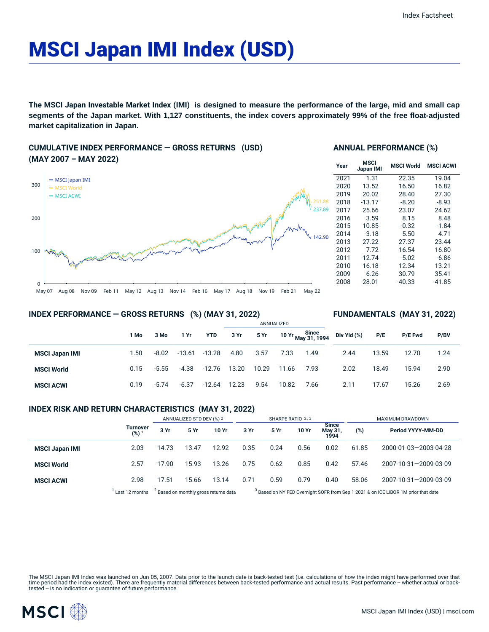# MSCI Japan IMI Index (USD)

**The MSCI Japan Investable Market Index (IMI) is designed to measure the performance of the large, mid and small cap segments of the Japan market. With 1,127 constituents, the index covers approximately 99% of the free float-adjusted market capitalization in Japan.**

## **CUMULATIVE INDEX PERFORMANCE — GROSS RETURNS (USD) (MAY 2007 – MAY 2022)**



#### **ANNUAL PERFORMANCE (%)**

| Year | MSCI<br>Japan IMI | <b>MSCI World</b> | <b>MSCI ACWI</b> |  |  |
|------|-------------------|-------------------|------------------|--|--|
| 2021 | 1.31              | 22.35             | 19.04            |  |  |
| 2020 | 13.52             | 16.50             | 16.82            |  |  |
| 2019 | 20.02             | 28.40             | 27.30            |  |  |
| 2018 | $-13.17$          | $-8.20$           | $-8.93$          |  |  |
| 2017 | 25.66             | 23.07             | 24.62            |  |  |
| 2016 | 3.59              | 8.15              | 8.48             |  |  |
| 2015 | 10.85             | $-0.32$           | $-1.84$          |  |  |
| 2014 | $-3.18$           | 5.50              | 4.71             |  |  |
| 2013 | 27.22             | 27.37             | 23.44            |  |  |
| 2012 | 7.72              | 16.54             | 16.80            |  |  |
| 2011 | $-12.74$          | $-5.02$           | $-6.86$          |  |  |
| 2010 | 16.18             | 12.34             | 13.21            |  |  |
| 2009 | 6.26              | 30.79             | 35.41            |  |  |
| 2008 | $-28.01$          | $-40.33$          | $-41.85$         |  |  |

**FUNDAMENTALS (MAY 31, 2022)**

#### **INDEX PERFORMANCE — GROSS RETURNS (%) (MAY 31, 2022)**

#### ANNUALIZED **1 Mo 3 Mo 1 Yr YTD 3 Yr 5 Yr 10 Yr Since May 31, 1994 MSCI Japan IMI** 1.50 -8.02 -13.61 -13.28 4.80 3.57 7.33 1.49 **MSCI World** 0.15 -5.55 -4.38 -12.76 13.20 10.29 11.66 7.93 **MSCI ACWI** 0.19 -5.74 -6.37 -12.64 12.23 9.54 10.82 7.66 **Div Yld (%) P/E P/E Fwd P/BV** 2.44 13.59 12.70 1.24 2.02 18.49 15.94 2.90 2.11 17.67 15.26 2.69

#### **INDEX RISK AND RETURN CHARACTERISTICS (MAY 31, 2022)**

|                       |                     | ANNUALIZED STD DEV (%) 2                         |       | SHARPE RATIO 2,3                                                                              |      |      |       | MAXIMUM DRAWDOWN                |       |                       |
|-----------------------|---------------------|--------------------------------------------------|-------|-----------------------------------------------------------------------------------------------|------|------|-------|---------------------------------|-------|-----------------------|
|                       | Turnover<br>$(%)^1$ | 3 Yr                                             | 5 Yr  | 10 Yr                                                                                         | 3 Yr | 5 Yr | 10 Yr | <b>Since</b><br>May 31,<br>1994 | (%)   | Period YYYY-MM-DD     |
| <b>MSCI Japan IMI</b> | 2.03                | 14.73                                            | 13.47 | 12.92                                                                                         | 0.35 | 0.24 | 0.56  | 0.02                            | 61.85 | 2000-01-03-2003-04-28 |
| <b>MSCI World</b>     | 2.57                | 17.90                                            | 15.93 | 13.26                                                                                         | 0.75 | 0.62 | 0.85  | 0.42                            | 57.46 | 2007-10-31-2009-03-09 |
| <b>MSCI ACWI</b>      | 2.98                | 17.51                                            | 15.66 | 13.14                                                                                         | 0.71 | 0.59 | 0.79  | 0.40                            | 58.06 | 2007-10-31-2009-03-09 |
|                       | Last 12 months      | <sup>2</sup> Based on monthly gross returns data |       | <sup>3</sup> Based on NY FED Overnight SOFR from Sep 1 2021 & on ICE LIBOR 1M prior that date |      |      |       |                                 |       |                       |

The MSCI Japan IMI Index was launched on Jun 05, 2007. Data prior to the launch date is back-tested test (i.e. calculations of how the index might have performed over that time period had the index existed). There are frequently material differences between back-tested performance and actual results. Past performance – whether actual or back-<br>tested – is no indication or guarantee of future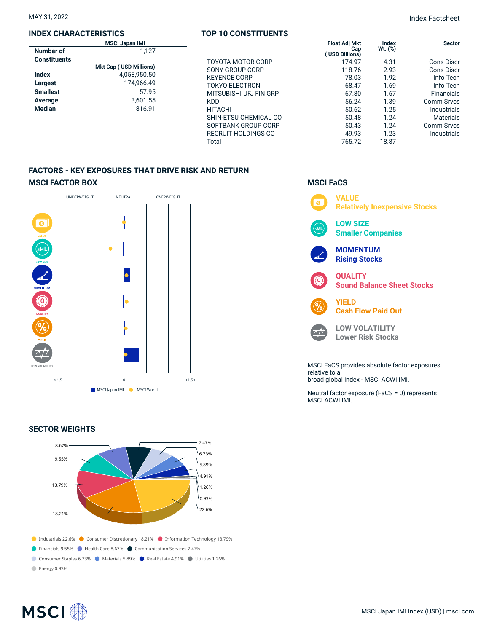#### **INDEX CHARACTERISTICS**

|                     | <b>MSCI Japan IMI</b>         |  |  |
|---------------------|-------------------------------|--|--|
| Number of           | 1.127                         |  |  |
| <b>Constituents</b> |                               |  |  |
|                     | <b>Mkt Cap (USD Millions)</b> |  |  |
| Index               | 4.058.950.50                  |  |  |
| Largest             | 174.966.49                    |  |  |
| <b>Smallest</b>     | 57.95                         |  |  |
| Average             | 3.601.55                      |  |  |
| Median              | 816.91                        |  |  |

### **TOP 10 CONSTITUENTS**

| 127  |                            | <b>Float Adj Mkt</b><br>Cap<br>USD Billions) | <b>Index</b><br>Wt. (%) | <b>Sector</b>      |
|------|----------------------------|----------------------------------------------|-------------------------|--------------------|
|      | <b>TOYOTA MOTOR CORP</b>   | 174.97                                       | 4.31                    | Cons Discr         |
| (ממ  | SONY GROUP CORP            | 118.76                                       | 2.93                    | Cons Discr         |
| .50  | <b>KEYENCE CORP</b>        | 78.03                                        | 1.92                    | Info Tech          |
| .49  | <b>TOKYO ELECTRON</b>      | 68.47                                        | 1.69                    | Info Tech          |
| '.95 | MITSUBISHI UFJ FIN GRP     | 67.80                                        | 1.67                    | <b>Financials</b>  |
| .55  | <b>KDDI</b>                | 56.24                                        | 1.39                    | Comm Srvcs         |
| , 91 | <b>HITACHI</b>             | 50.62                                        | 1.25                    | Industrials        |
|      | SHIN-ETSU CHEMICAL CO      | 50.48                                        | 1.24                    | <b>Materials</b>   |
|      | SOFTBANK GROUP CORP        | 50.43                                        | 1.24                    | <b>Comm Srvcs</b>  |
|      | <b>RECRUIT HOLDINGS CO</b> | 49.93                                        | 1.23                    | <b>Industrials</b> |
|      | Total                      | 765.72                                       | 18.87                   |                    |

## **FACTORS - KEY EXPOSURES THAT DRIVE RISK AND RETURN MSCI FACTOR BOX**



### **SECTOR WEIGHTS**



## **MSCI FaCS VALUE**



MSCI FaCS provides absolute factor exposures relative to a broad global index - MSCI ACWI IMI.

Neutral factor exposure (FaCS = 0) represents MSCI ACWI IMI.